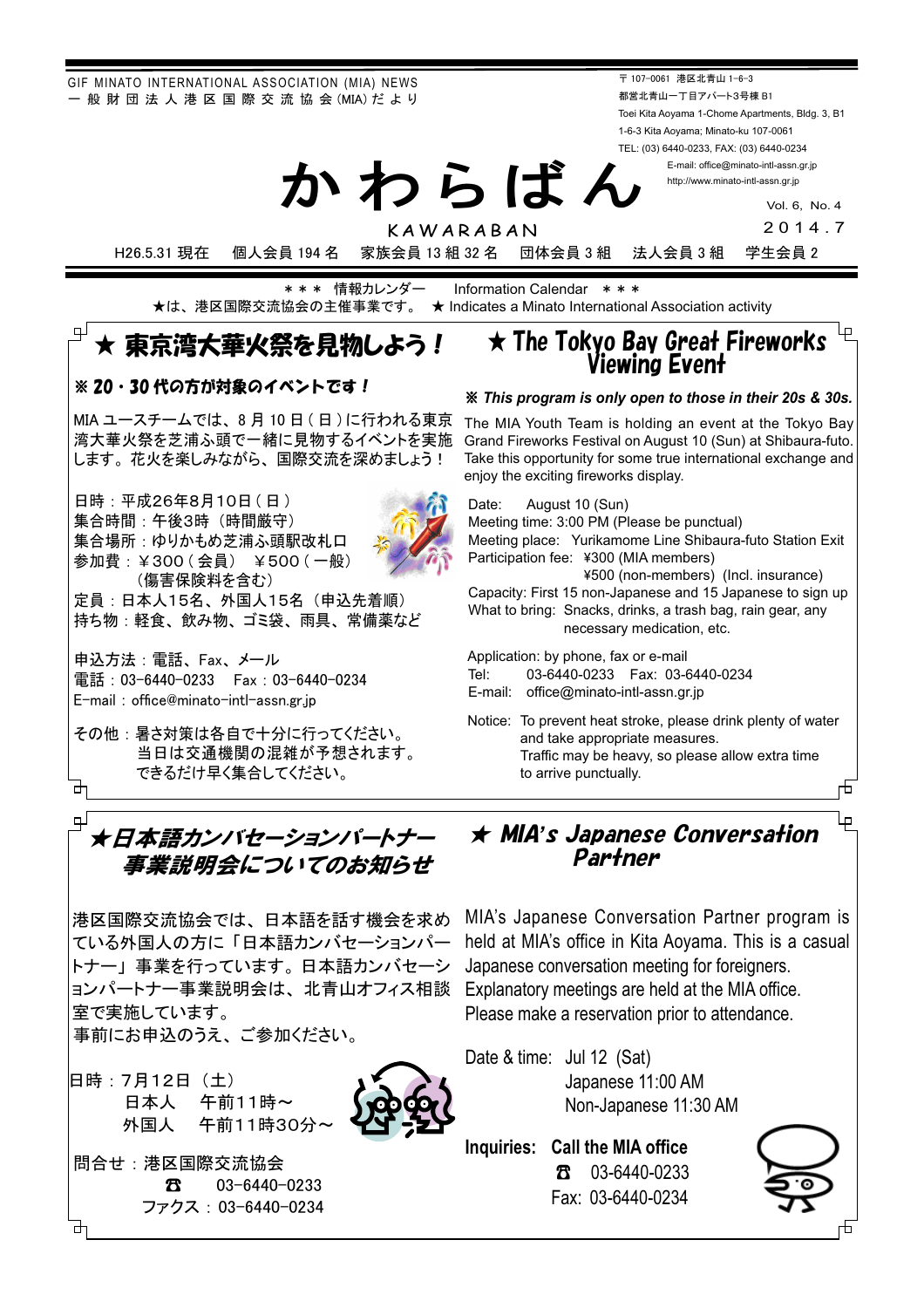GIF MINATO INTERNATIONAL ASSOCIATION (MIA) NEWS - 般 財 団 法 人 港 区 国 際 交 流 協 会 (MIA) だ よ り

〒 107-0061 港区北青山 1-6-3 都営北青山一丁目アパート3号棟 B1 Toei Kita Aoyama 1-Chome Apartments, Bldg. 3, B1 1-6-3 Kita Aoyama; Minato-ku 107-0061 TEL: (03) 6440-0233, FAX: (03) 6440-0234

> E-mail: office@minato-intl-assn.gr.jp http://www.minato-intl-assn.gr.jp

> > Vol. 6, No. 4

2014.7

KAWARABAN H26.5.31 現在 個人会員 194 名 家族会員 13 組 32 名 団体会員 3 組 法人会員 3 組 学生会員 2

かわらばん

 $\star *\ast \; \text{\textsf{t}} \; \text{\textsf{t}} \; \text{\textsf{t}} \; \text{\textsf{t}} \; \text{\textsf{t}} \; \text{\textsf{t}} \; \text{\textsf{t}} \; * \; \text{\textsf{t}} \; \text{\textsf{t}} \; \text{\textsf{t}} \; \text{\textsf{t}} \; \text{\textsf{t}} \; \text{\textsf{t}} \; \text{\textsf{t}} \; \text{\textsf{t}} \; \text{\textsf{t}} \; \text{\textsf{t}} \; \text{\textsf{t}} \; \text{\textsf{t}} \; \text{\textsf{t}} \; \text{\textsf{t}} \$ **★ Indicates a Minato International Association activity** 

### ẅᴾṾᴾிʮฺٻᓙ້ᅛửᙸཋẲợạὲ **★ The Tokyo Bay Great Fireworks**

### ※20・30代の方が対象のイベントです!

MIA ユースチームでは、8月10日 (日)に行われる東京 湾大華火祭を芝浦ふ頭で一緒に見物するイベントを実施 します。花火を楽しみながら、国際交流を深めましょう!

日時: 平成26年8月10日 (日) 集合時間: 午後3時 (時間厳守) 集合場所: ゆりかもめ芝浦ふ頭駅改札口 参加費:¥300 ( 会員 ) ¥500 ( 一般) (傷害保険料を含む) 定員:日本人15名、外国人15名(申込先着順) 持ち物:軽食、飲み物、ゴミ袋、雨具、常備薬など

申込方法: 電話、Fax、メール 電話: 03-6440-0233 Fax: 03-6440-0234 E-mail: office@minato-intl-assn.gr.jp

その他:暑さ対策は各自で十分に行ってください。 当日は交通機関の混雑が予想されます。 — できるだけ早く集合してください。<br>**卍** 

## Viewing Event

#### ‒ *This program is only open to those in their 20s & 30s.*

The MIA Youth Team is holding an event at the Tokyo Bay Grand Fireworks Festival on August 10 (Sun) at Shibaura-futo. Take this opportunity for some true international exchange and enjoy the exciting fireworks display.

 Date: August 10 (Sun) Meeting time: 3:00 PM (Please be punctual) Meeting place: Yurikamome Line Shibaura-futo Station Exit Participation fee: ¥300 (MIA members) 䣞500 (non-members) (Incl. insurance) Capacity: First 15 non-Japanese and 15 Japanese to sign up What to bring: Snacks, drinks, a trash bag, rain gear, any necessary medication, etc. Application: by phone, fax or e-mail Tel: 03-6440-0233 Fax: 03-6440-0234 E-mail: office@minato-intl-assn.gr.jp

 Notice: To prevent heat stroke, please drink plenty of water and take appropriate measures.

> Traffic may be heavy, so please allow extra time to arrive punctually.

#### 市

## பு  $\star$ E 事業説明会についてのお知らせ

港区国際交流協会では、日本語を話す機会を求め トナー」事業を行っています。日本語カンバセーシ ョンパートナー事業説明会は、北青山オフィス相談 Explanatory meetings are held at the MIA office. 室で実施しています。 事前にお申込のうえ、ご参加ください。

日時: 7月12日 (土)

日本人 午前11時~ 外国人 午前11時30分

問合せ: 港区国際交流協会 **<del>3 3</del>** 03-6440-0233 ファクス:03-6440-0234

ु<br>┌ ★日本語カンバセーションパートナー ★ MIA's Japanese Conversa<del>l</del>ion 「 Partner

ている外国人の方に「日本語カンバセーションパー held at MIA's office in Kita Aoyama. This is a casual MIA's Japanese Conversation Partner program is Japanese conversation meeting for foreigners. Please make a reservation prior to attendance.

> Date & time: Jul 12 (Sat) Japanese 11:00 AM Non-Japanese 11:30 AM

**Inquiries: Call the MIA office** 䖲 03-6440-0233 Fax: 03-6440-0234